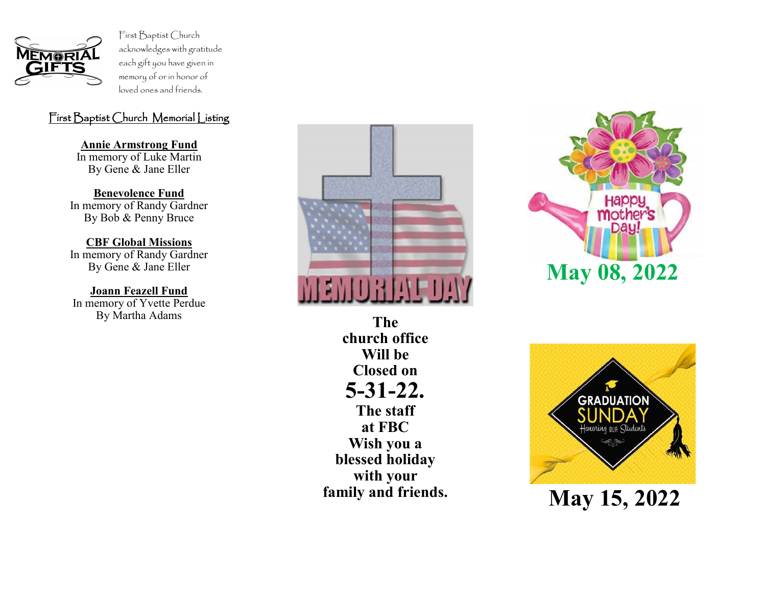

First Baptist Church acknowledges with gratitude each gift you have given in memory of or in honor of loved ones and friends.

## First Baptist Church Memorial Listing

**Annie Armstrong Fund** In memory of Luke Martin By Gene & Jane Eller

**Benevolence Fund** In memory of Randy Gardner By Bob & Penny Bruce

**CBF Global Missions** In memory of Randy Gardner By Gene & Jane Eller

**Joann Feazell Fund** In memory of Yvette Perdue By Martha Adams **The** 



**church office Will be Closed on 5-31-22. The staff at FBC Wish you a blessed holiday with your family and friends.**





**May 15, 2022**